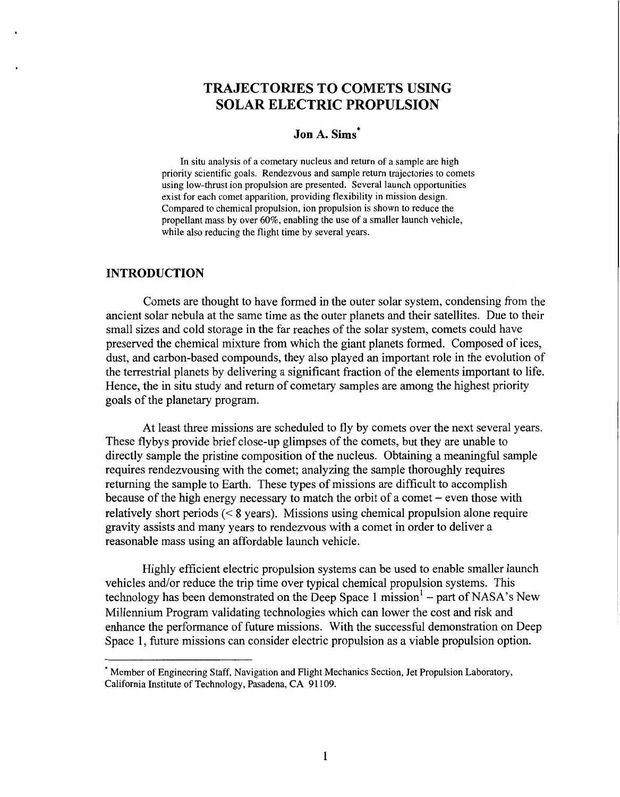# **TRAJECTORIES TO COMETS USING SOLAR ELECTRIC PROPULSION**

# **Jon A. Sims\***

In situ analysis of a cometary nucleus and return of a sample are high priority scientific goals. Rendezvous and sample return trajectories to comets using low-thrust ion propulsion are presented. Several launch opportunities exist for each comet apparition, providing flexibility in mission design. Compared to chemical propulsion, ion propulsion is shown to reduce the propellant mass by over 60%, enabling the use of a smaller launch vehicle, while also reducing the flight time by several years.

### **INTRODUCTION**

Comets are thought to have formed in the outer solar system, condensing from the ancient solar nebula at the same time as the outer planets and their satellites. Due to their small sizes and cold storage in the far reaches of the solar system, comets could have preserved the chemical mixture from which the giant planets formed. Composed of ices, dust, and carbon-based compounds, they also played an important role in the evolution of the terrestrial planets by delivering a significant fraction of the elements important to life. Hence, the in situ study and return of cometary samples are among the highest priority goals of the planetary program.

At least three missions are scheduled to fly by comets over the next several years. These flybys provide brief close-up glimpses of the comets, but they are unable to directly sample the pristine composition of the nucleus. Obtaining a meaningful sample requires rendezvousing with the comet; analyzing the sample thoroughly requires returning the sample to Earth. These types of missions are difficult to accomplish because of the high energy necessary to match the orbit of a comet - even those with relatively short periods (< **8** years). Missions using chemical propulsion alone require gravity assists and many years to rendezvous with a comet in order to deliver a reasonable mass using an affordable launch vehicle.

Highly efficient electric propulsion systems can be used to enable smaller launch vehicles and/or reduce the trip time over typical chemical propulsion systems. This technology has been demonstrated on the Deep Space 1 mission<sup>1</sup> – part of NASA's New Millennium Program validating technologies which can lower the cost and risk and enhance the performance of future missions. With the successful demonstration on Deep Space 1, future missions can consider electric propulsion as a viable propulsion option.

<sup>\*</sup> Member of Engineering Staff, Navigation and Flight Mechanics Section, Jet Propulsion Laboratory, California Institute of Technology, Pasadena, CA 91 109.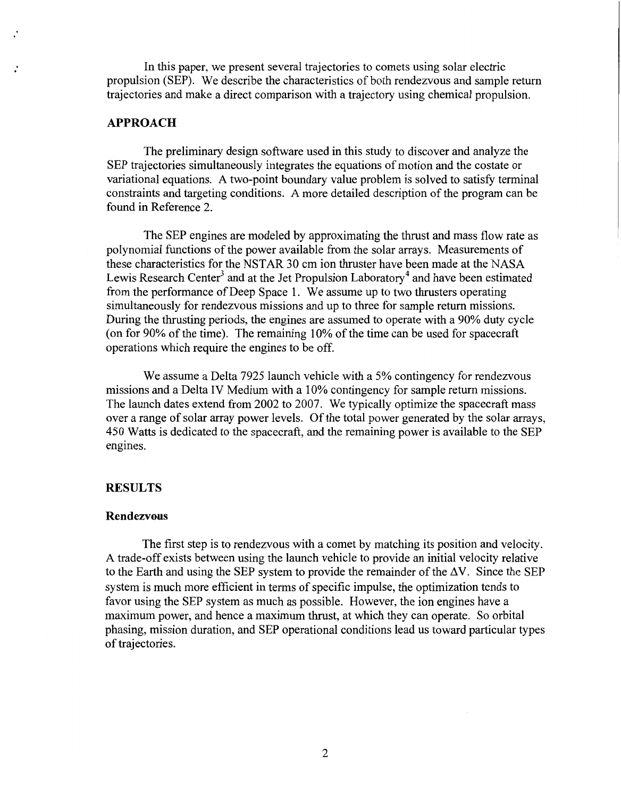In this paper, we present several trajectories to comets using solar electric propulsion (SEP). We describe the characteristics of both rendezvous and sample return trajectories and make a direct comparison with a trajectory using chemical propulsion.

# **APPROACH**

The preliminary design software used in this study to discover and analyze the SEP trajectories simultaneously integrates the equations of motion and the costate or variational equations. A two-point boundary value problem is solved to satisfy terminal constraints and targeting conditions. A more detailed description of the program can be found in Reference 2.

The SEP engines are modeled by approximating the thrust and mass flow rate as polynomial functions of the power available from the solar arrays. Measurements of these characteristics for the NSTAR 30 cm ion thruster have been made at the NASA Lewis Research Center<sup>3</sup> and at the Jet Propulsion Laboratory<sup>4</sup> and have been estimated from the performance of Deep Space 1. We assume up to two thrusters operating simultaneously for rendezvous missions and up to three for sample return missions. During the thrusting periods, the engines are assumed to operate with a 90% duty cycle (on for 90% of the time). The remaining 10% of the time can be used for spacecraft operations which require the engines to be off.

We assume a Delta 7925 launch vehicle with a *5%* contingency for rendezvous missions and a Delta IV Medium with a 10% contingency for sample return missions. The launch dates extend from 2002 to 2007. We typically optimize the spacecraft mass over a range of solar array power levels. Of the total power generated by the solar arrays, 450 Watts is dedicated to the spacecraft, and the remaining power is available to the SEP engines.

# **RESULTS**

### **Rendezvous**

The first step is to rendezvous with a comet by matching its position and velocity. **A** trade-off exists between using the launch vehicle to provide an initial velocity relative to the Earth and using the SEP system to provide the remainder of the  $\Delta V$ . Since the SEP system is much more efficient in terms of specific impulse, the optimization tends to favor using the SEP system as much as possible. However, the ion engines have a maximum power, and hence a maximum thrust, at which they can operate. So orbital phasing, mission duration, and SEP operational conditions lead us toward particular types of trajectories.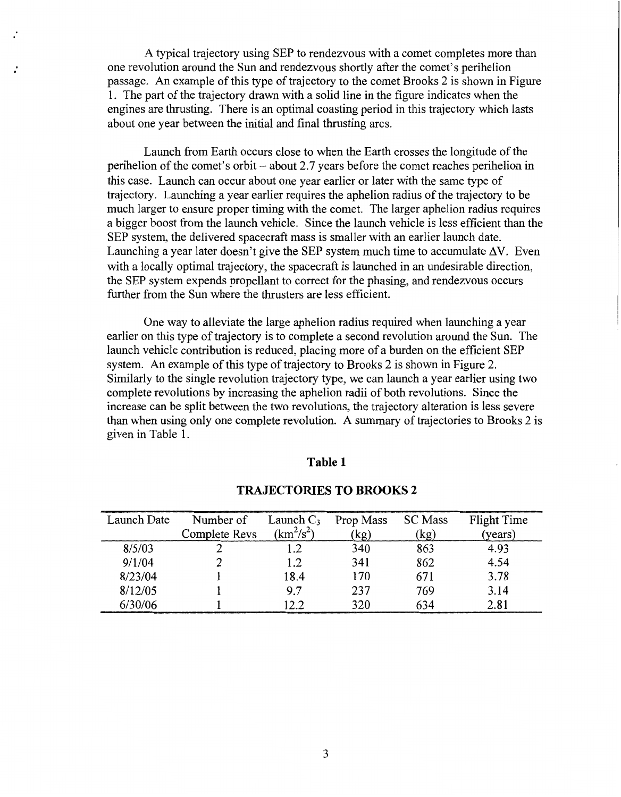A typical trajectory using SEP to rendezvous with a comet completes more than one revolution around the Sun and rendezvous shortly after the comet's perihelion passage. An example of this type of trajectory to the comet Brooks 2 is shown in Figure 1. The part of the trajectory drawn with a solid line in the figure indicates when the engines are thrusting. There is an optimal coasting period in this trajectory which lasts about one year between the initial and final thrusting arcs.

Launch from Earth occurs close to when the Earth crosses the longitude of the perihelion of the comet's orbit - about 2.7 years before the comet reaches perihelion in this case. Launch can occur about one year earlier or later with the same type of trajectory. Launching a year earlier requires the aphelion radius of the trajectory to be much larger to ensure proper timing with the comet. The larger aphelion radius requires a bigger boost from the launch vehicle. Since the launch vehicle is less efficient than the SEP system, the delivered spacecraft mass is smaller with an earlier launch date. Launching a year later doesn't give the SEP system much time to accumulate  $\Delta V$ . Even with a locally optimal trajectory, the spacecraft is launched in an undesirable direction, the SEP system expends propellant to correct for the phasing, and rendezvous occurs further from the Sun where the thrusters are less efficient.

One way to alleviate the large aphelion radius required when launching a year earlier on this type of trajectory is to complete a second revolution around the Sun. The launch vehicle contribution is reduced, placing more of a burden on the efficient SEP system. An example of this type of trajectory to Brooks 2 is shown in Figure 2. Similarly to the single revolution trajectory type, we can launch a year earlier using two complete revolutions by increasing the aphelion radii of both revolutions. Since the increase can be split between the two revolutions, the trajectory alteration is less severe than when using only one complete revolution. A summary of trajectories to Brooks 2 is given in Table 1.

#### **Table 1**

| Launch Date | Number of     | Launch $C_3$ | Prop Mass | <b>SC</b> Mass | <b>Flight Time</b> |
|-------------|---------------|--------------|-----------|----------------|--------------------|
|             | Complete Revs | $(km^2/s^2)$ | (kg)      | (kg)           | (years)            |
| 8/5/03      |               | 1.2          | 340       | 863            | 4.93               |
| 9/1/04      |               | 1.2          | 341       | 862            | 4.54               |
| 8/23/04     |               | 18.4         | 170       | 671            | 3.78               |
| 8/12/05     |               | 9.7          | 237       | 769            | 3.14               |
| 6/30/06     |               | 12.2         | 320       | 634            | 2.81               |

### **TRAJECTORIES TO BROOKS 2**

**3**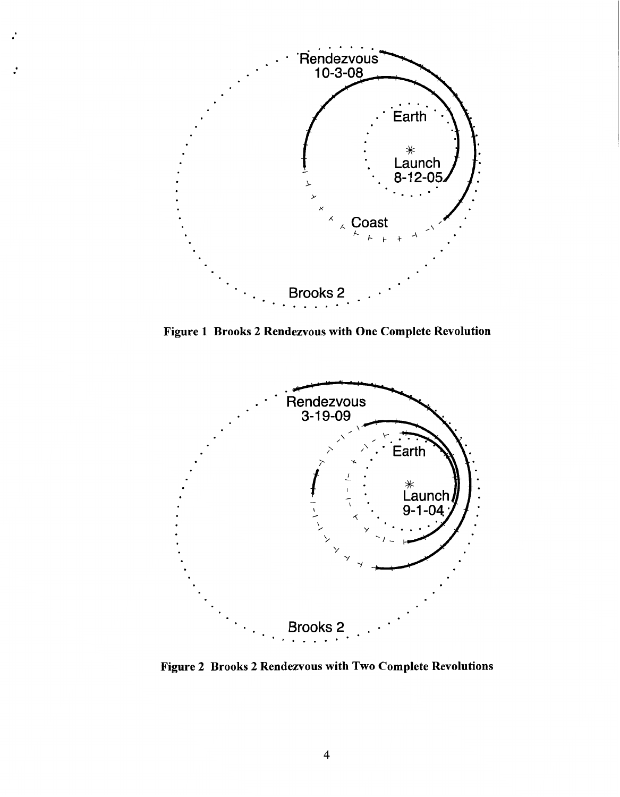

 $\cdot$ 

**Figure 1 Brooks 2 Rendezvous with One Complete Revolution** 



**Figure 2 Brooks 2 Rendezvous with Two Complete Revolutions**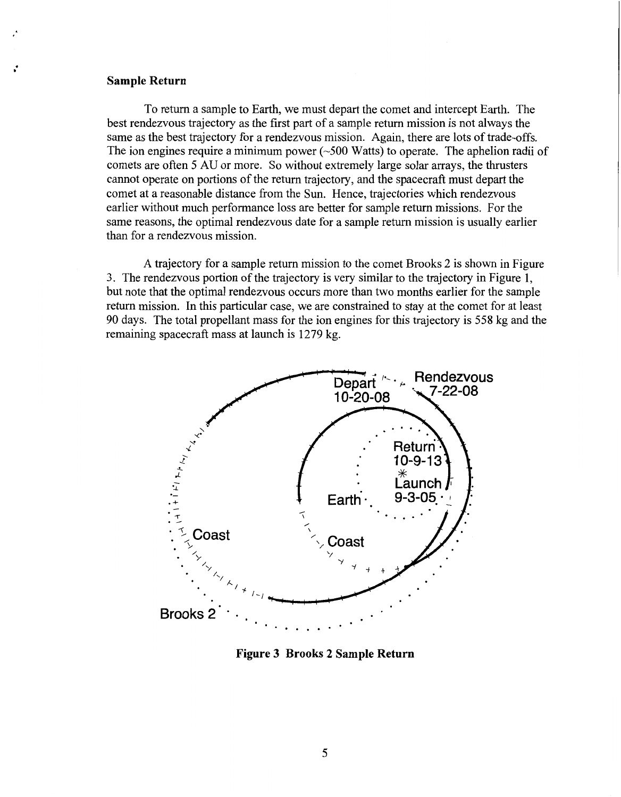#### **Sample Return**

<span id="page-4-0"></span>.

To return a sample to Earth, we must depart the comet and intercept Earth. The best rendezvous trajectory as the first part of a sample return mission is not always the same as the best trajectory for a rendezvous mission. Again, there are lots of trade-offs. The ion engines require a minimum power  $(\sim 500 \text{ Watts})$  to operate. The aphelion radii of comets are often *5* AU or more. So without extremely large solar arrays, the thrusters cannot operate on portions of the return trajectory, and the spacecraft must depart the comet at a reasonable distance from the Sun. Hence, trajectories which rendezvous earlier without much performance loss are better for sample return missions. For the same reasons, the optimal rendezvous date for a sample return mission is usually earlier than for a rendezvous mission.

A trajectory for a sample return mission to the comet Brooks 2 is shown in Figure *3.* The rendezvous portion of the trajectory is very similar to the trajectory in Figure 1, but note that the optimal rendezvous occurs more than two months earlier for the sample return mission. In this particular case, we are constrained to stay at the comet for at least 90 days. The total propellant mass for the ion engines for this trajectory is *558* kg and the remaining spacecraft mass at launch is 1279 kg.



**Figure 3 Brooks 2 Sample Return**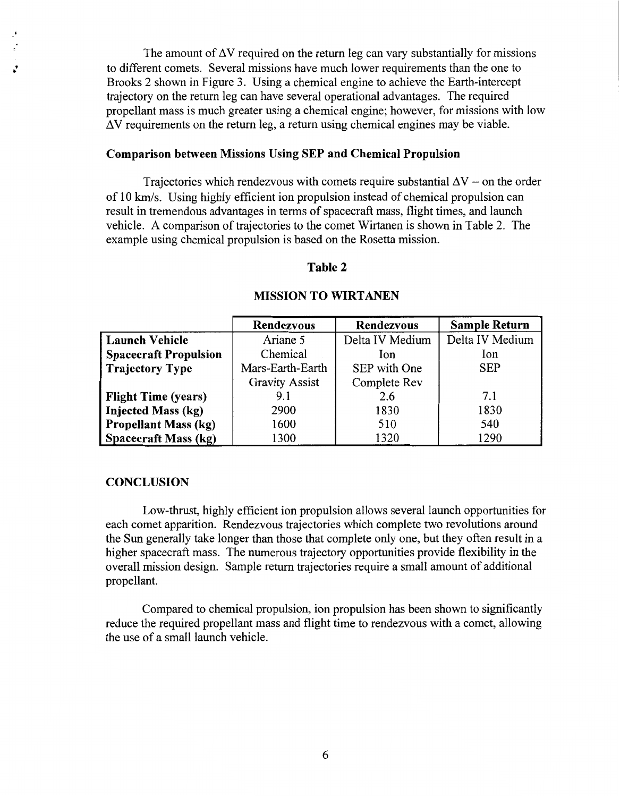The amount of  $\Delta V$  required on the return leg can vary substantially for missions to different comets. Several missions have much lower requirements than the one to Brooks 2 shown in [Figure 3](#page-4-0). Using a chemical engine to achieve the Earth-intercept trajectory on the return leg can have several operational advantages. The required propellant mass is much greater using a chemical engine; however, for missions with low  $\Delta V$  requirements on the return leg, a return using chemical engines may be viable.

# **Comparison between Missions Using SEP and Chemical Propulsion**

Trajectories which rendezvous with comets require substantial  $\Delta V$  – on the order of 10 *Ms.* Using highly efficient ion propulsion instead of chemical propulsion can result in tremendous advantages in terms of spacecraft mass, flight times, and launch vehicle. A comparison of trajectories to the comet Wirtanen is shown in Table 2. The example using chemical propulsion is based on the Rosetta mission.

### **Table 2**

|                              | <b>Rendezvous</b>     | <b>Rendezvous</b> | <b>Sample Return</b> |
|------------------------------|-----------------------|-------------------|----------------------|
| <b>Launch Vehicle</b>        | Ariane 5              | Delta IV Medium   | Delta IV Medium      |
| <b>Spacecraft Propulsion</b> | Chemical              | Ion               | Ion                  |
| <b>Trajectory Type</b>       | Mars-Earth-Earth      | SEP with One      | <b>SEP</b>           |
|                              | <b>Gravity Assist</b> | Complete Rev      |                      |
| <b>Flight Time (years)</b>   | 9.1                   | 2.6               | 7.1                  |
| <b>Injected Mass (kg)</b>    | 2900                  | 1830              | 1830                 |
| <b>Propellant Mass (kg)</b>  | 1600                  | 510               | 540                  |
| <b>Spacecraft Mass (kg)</b>  | 1300                  | 1320              | 1290                 |

#### **MISSION TO WIRTANEN**

### **CONCLUSION**

Low-thrust, highly efficient ion propulsion allows several launch opportunities for each comet apparition. Rendezvous trajectories which complete two revolutions around the Sun generally take longer than those that complete only one, but they often result in a higher spacecraft mass. The numerous trajectory opportunities provide flexibility in the overall mission design. Sample return trajectories require a small amount of additional propellant.

Compared to chemical propulsion, ion propulsion has been shown to significantly reduce the required propellant mass and flight time to rendezvous with a comet, allowing the use of a small launch vehicle.